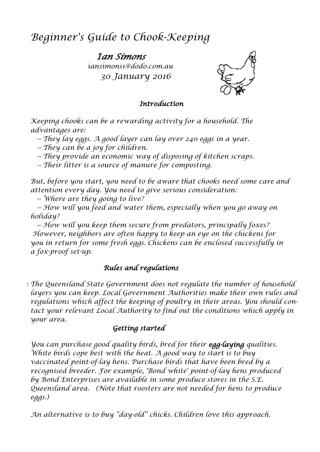# *Beginner's Guide to Chook-Keeping*

*Ian Simons iansimons1@dodo.com.au 30 January 2016*



#### *Introduction*

*Keeping chooks can be a rewarding activity for a household. The advantages are:*

 *-- They lay eggs. A good layer can lay over 240 eggs in a year.*

 *-- They can be a joy for children.*

 *-- They provide an economic way of disposing of kitchen scraps.*

 *-- Their litter is a source of manure for composting.* 

*But, before you start, you need to be aware that chooks need some care and attention every day. You need to give serious consideration:*

 *-- Where are they going to live?*

 *-- How will you feed and water them, especially when you go away on holiday?*

 *-- How will you keep them secure from predators, principally foxes? However, neighbors are often happy to keep an eye on the chickens for you in return for some fresh eggs. Chickens can be enclosed successfully in a fox-proof set-up.*

### *Rules and regulations*

*In The Queensland State Government does not regulate the number of household layers you can keep. Local Government Authorities make their own rules and regulations which affect the keeping of poultry in their areas. You should contact your relevant Local Authority to find out the conditions which apply in your area.*

### *Getting started*

*You can purchase good quality birds, bred for their egg-laying qualities. White birds cope best with the heat. A good way to start is to buy vaccinated point-of-lay hens. Purchase birds that have been bred by a recognised breeder. For example, 'Bond white' point-of-lay hens produced by Bond Enterprises are available in some produce stores in the S.E. Queensland area. (Note that roosters are not needed for hens to produce eggs.)*

*An alternative is to buy "day-old" chicks. Children love this approach.*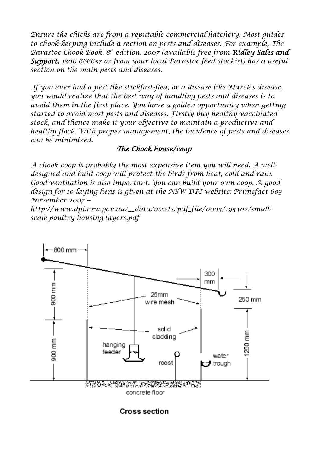*Ensure the chicks are from a reputable commercial hatchery. Most guides to chook-keeping include a section on pests and diseases. For example, The Barastoc Chook Book, 8 th edition, 2007 (available free from Ridley Sales and Support, 1300 666657 or from your local Barastoc feed stockist) has a useful section on the main pests and diseases.*

*If you ever had a pest like stickfast-flea, or a disease like Marek's disease, you would realize that the best way of handling pests and diseases is to avoid them in the first place. You have a golden opportunity when getting started to avoid most pests and diseases. Firstly buy healthy vaccinated stock, and thence make it your objective to maintain a productive and healthy flock. With proper management, the incidence of pests and diseases can be minimized.*

### *The Chook house/coop*

*A chook coop is probably the most expensive item you will need. A welldesigned and built coop will protect the birds from heat, cold and rain. Good ventilation is also important. You can build your own coop. A good design for 10 laying hens is given at the NSW DPI website: Primefact 603 November 2007 --*

*[http://www.dpi.nsw.gov.au/\\_\\_data/assets/pdf\\_file/0003/195402/small](http://www.dpi.nsw.gov.au/__data/assets/pdf_file/0003/195402/small-scale-poultry-housing-layers.pdf)[scale-poultry-housing-layers.pdf](http://www.dpi.nsw.gov.au/__data/assets/pdf_file/0003/195402/small-scale-poultry-housing-layers.pdf)*



**Cross section**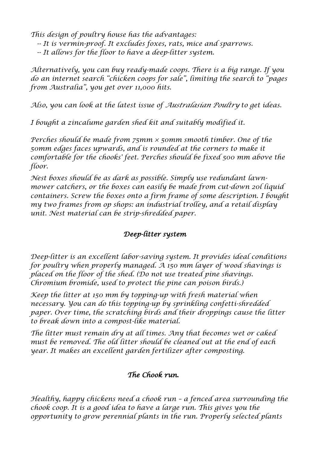*This design of poultry house has the advantages:*

- *-- It is vermin-proof. It excludes foxes, rats, mice and sparrows.*
- *-- It allows for the floor to have a deep-litter system.*

*Alternatively, you can buy ready-made coops. There is a big range. If you do an internet search "chicken coops for sale", limiting the search to "pages from Australia", you get over 11,000 hits.*

*Also, you can look at the latest issue of Australasian Poultry to get ideas.*

*I bought a zincalume garden shed kit and suitably modified it.* 

*Perches should be made from 75mm × 50mm smooth timber. One of the 50mm edges faces upwards, and is rounded at the corners to make it comfortable for the chooks' feet. Perches should be fixed 500 mm above the floor.*

*Nest boxes should be as dark as possible. Simply use redundant lawnmower catchers, or the boxes can easily be made from cut-down 20l liquid containers. Screw the boxes onto a firm frame of some description. I bought my two frames from op shops: an industrial trolley, and a retail display unit. Nest material can be strip-shredded paper.* 

## *Deep-litter system*

*Deep-litter is an excellent labor-saving system. It provides ideal conditions for poultry when properly managed. A 150 mm layer of wood shavings is placed on the floor of the shed. (Do not use treated pine shavings. Chromium bromide, used to protect the pine can poison birds.)*

*Keep the litter at 150 mm by topping-up with fresh material when necessary. You can do this topping-up by sprinkling confetti-shredded paper. Over time, the scratching birds and their droppings cause the litter to break down into a compost-like material.*

*The litter must remain dry at all times. Any that becomes wet or caked must be removed. The old litter should be cleaned out at the end of each year. It makes an excellent garden fertilizer after composting.*

## *The Chook run.*

*Healthy, happy chickens need a chook run – a fenced area surrounding the chook coop. It is a good idea to have a large run. This gives you the opportunity to grow perennial plants in the run. Properly selected plants*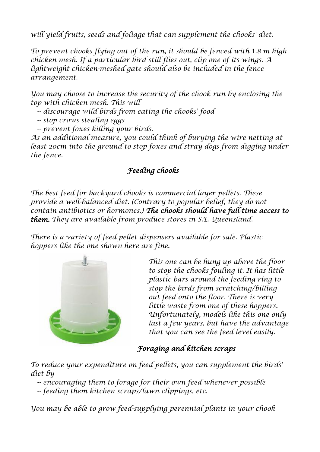*will yield fruits, seeds and foliage that can supplement the chooks' diet.*

*To prevent chooks flying out of the run, it should be fenced with* 1*.8 m high chicken mesh. If a particular bird still flies out, clip one of its wings. A lightweight chicken-meshed gate should also be included in the fence arrangement.*

*You may choose to increase the security of the chook run by enclosing the top with chicken mesh. This will*

 *-- discourage wild birds from eating the chooks' food*

 *-- stop crows stealing eggs*

 *-- prevent foxes killing your birds.*

*As an additional measure, you could think of burying the wire netting at*  least 20cm into the ground to stop foxes and stray dogs from digging under *the fence.*

# *Feeding chooks*

*The best feed for backyard chooks is commercial layer pellets. These provide a well-balanced diet. (Contrary to popular belief, they do not contain antibiotics or hormones.) The chooks should have full-time access to them. They are available from produce stores in S.E. Queensland.*

*There is a variety of feed pellet dispensers available for sale. Plastic hoppers like the one shown here are fine.*



*This one can be hung up above the floor to stop the chooks fouling it. It has little plastic bars around the feeding ring to stop the birds from scratching/billing out feed onto the floor. There is very little waste from one of these hoppers. Unfortunately, models like this one only last a few years, but have the advantage that you can see the feed level easily.*

## *Foraging and kitchen scraps*

*To reduce your expenditure on feed pellets, you can supplement the birds' diet by*

 *-- encouraging them to forage for their own feed whenever possible -- feeding them kitchen scraps/lawn clippings, etc.*

*You may be able to grow feed-supplying perennial plants in your chook*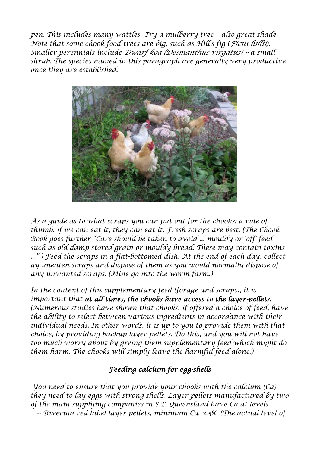*pen. This includes many wattles. Try a mulberry tree - also great shade. Note that some chook food trees are big, such as Hill's fig (Ficus hillii). Smaller perennials include Dwarf koa (Desmanthus virgatus) -- a small shrub. The species named in this paragraph are generally very productive once they are established.*



*As a guide as to what scraps you can put out for the chooks: a rule of thumb: if we can eat it, they can eat it. Fresh scraps are best. (The Chook Book goes further "Care should be taken to avoid ... mouldy or 'off' feed such as old damp stored grain or mouldy bread. These may contain toxins ...".) Feed the scraps in a flat-bottomed dish. At the end of each day, collect ay uneaten scraps and dispose of them as you would normally dispose of any unwanted scraps. (Mine go into the worm farm.)* 

*In the context of this supplementary feed (forage and scraps), it is important that at all times, the chooks have access to the layer-pellets. (Numerous studies have shown that chooks, if offered a choice of feed, have the ability to select between various ingredients in accordance with their*  individual needs. In other words, it is up to you to provide them with that *choice, by providing backup layer pellets. Do this, and you will not have too much worry about by giving them supplementary feed which might do them harm. The chooks will simply leave the harmful feed alone.)*

### *Feeding calcium for egg-shells*

*You need to ensure that you provide your chooks with the calcium (Ca) they need to lay eggs with strong shells. Layer pellets manufactured by two of the main supplying companies in S.E. Queensland have Ca at levels -- Riverina red label layer pellets, minimum Ca=3.5%. (The actual level of*